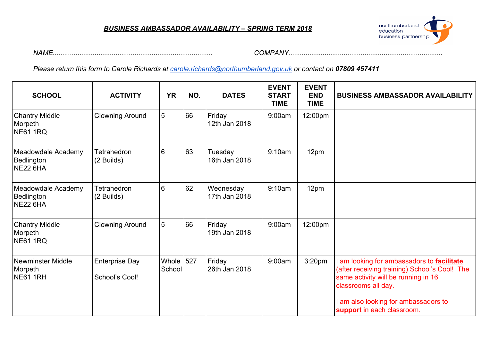#### *BUSINESS AMBASSADOR AVAILABILITY – SPRING TERM 2018*



*NAME.................................................................................... COMPANY.................................................................................*

*Please return this form to Carole Richards at [carole.richards@northumberland.gov.uk](mailto:carole.richards@northumberland.gov.uk) or contact on 07809 457411*

| <b>SCHOOL</b>                                          | <b>ACTIVITY</b>                         | <b>YR</b>           | NO. | <b>DATES</b>               | <b>EVENT</b><br><b>START</b><br><b>TIME</b> | <b>EVENT</b><br><b>END</b><br><b>TIME</b> | <b>BUSINESS AMBASSADOR AVAILABILITY</b>                                                                                                                                                                                                |
|--------------------------------------------------------|-----------------------------------------|---------------------|-----|----------------------------|---------------------------------------------|-------------------------------------------|----------------------------------------------------------------------------------------------------------------------------------------------------------------------------------------------------------------------------------------|
| <b>Chantry Middle</b><br>Morpeth<br><b>NE61 1RQ</b>    | <b>Clowning Around</b>                  | 5                   | 66  | Friday<br>12th Jan 2018    | 9:00am                                      | 12:00pm                                   |                                                                                                                                                                                                                                        |
| Meadowdale Academy<br>Bedlington<br><b>NE22 6HA</b>    | <b>Tetrahedron</b><br>(2 Builds)        | 6                   | 63  | Tuesday<br>16th Jan 2018   | 9:10am                                      | 12pm                                      |                                                                                                                                                                                                                                        |
| Meadowdale Academy<br>Bedlington<br><b>NE22 6HA</b>    | Tetrahedron<br>(2 Builds)               | 6                   | 62  | Wednesday<br>17th Jan 2018 | 9:10am                                      | 12pm                                      |                                                                                                                                                                                                                                        |
| <b>Chantry Middle</b><br>Morpeth<br><b>NE61 1RQ</b>    | <b>Clowning Around</b>                  | 5                   | 66  | Friday<br>19th Jan 2018    | 9:00am                                      | 12:00pm                                   |                                                                                                                                                                                                                                        |
| <b>Newminster Middle</b><br>Morpeth<br><b>NE61 1RH</b> | <b>Enterprise Day</b><br>School's Cool! | Whole 527<br>School |     | Friday<br>26th Jan 2018    | 9:00am                                      | 3:20 <sub>pm</sub>                        | I am looking for ambassadors to <b>facilitate</b><br>(after receiving training) School's Cool! The<br>same activity will be running in 16<br>classrooms all day.<br>I am also looking for ambassadors to<br>support in each classroom. |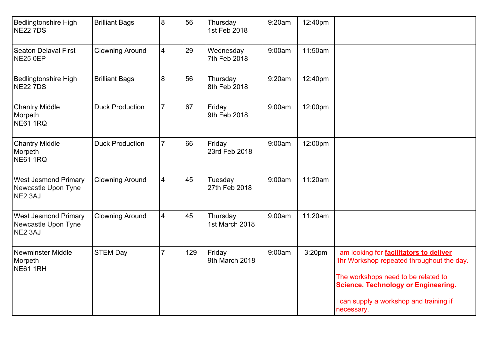| <b>Bedlingtonshire High</b><br><b>NE22 7DS</b>                | <b>Brilliant Bags</b>  | 8              | 56  | Thursday<br>1st Feb 2018   | 9:20am | 12:40pm |                                                                                                                                                                                                                                          |
|---------------------------------------------------------------|------------------------|----------------|-----|----------------------------|--------|---------|------------------------------------------------------------------------------------------------------------------------------------------------------------------------------------------------------------------------------------------|
| <b>Seaton Delaval First</b><br><b>NE25 0EP</b>                | <b>Clowning Around</b> | $\overline{4}$ | 29  | Wednesday<br>7th Feb 2018  | 9:00am | 11:50am |                                                                                                                                                                                                                                          |
| <b>Bedlingtonshire High</b><br><b>NE22 7DS</b>                | <b>Brilliant Bags</b>  | 8              | 56  | Thursday<br>8th Feb 2018   | 9:20am | 12:40pm |                                                                                                                                                                                                                                          |
| <b>Chantry Middle</b><br>Morpeth<br><b>NE61 1RQ</b>           | <b>Duck Production</b> | $\overline{7}$ | 67  | Friday<br>9th Feb 2018     | 9:00am | 12:00pm |                                                                                                                                                                                                                                          |
| <b>Chantry Middle</b><br>Morpeth<br><b>NE61 1RQ</b>           | <b>Duck Production</b> | $\overline{7}$ | 66  | Friday<br>23rd Feb 2018    | 9:00am | 12:00pm |                                                                                                                                                                                                                                          |
| <b>West Jesmond Primary</b><br>Newcastle Upon Tyne<br>NE2 3AJ | <b>Clowning Around</b> | $\overline{4}$ | 45  | Tuesday<br>27th Feb 2018   | 9:00am | 11:20am |                                                                                                                                                                                                                                          |
| <b>West Jesmond Primary</b><br>Newcastle Upon Tyne<br>NE2 3AJ | <b>Clowning Around</b> | $\overline{4}$ | 45  | Thursday<br>1st March 2018 | 9:00am | 11:20am |                                                                                                                                                                                                                                          |
| <b>Newminster Middle</b><br>Morpeth<br><b>NE61 1RH</b>        | <b>STEM Day</b>        | $\overline{7}$ | 129 | Friday<br>9th March 2018   | 9:00am | 3:20pm  | am looking for <b>facilitators to deliver</b><br>1hr Workshop repeated throughout the day.<br>The workshops need to be related to<br><b>Science, Technology or Engineering.</b><br>I can supply a workshop and training if<br>necessary. |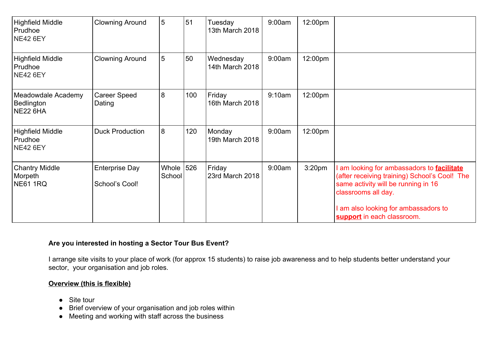| <b>Highfield Middle</b><br>Prudhoe<br><b>NE42 6EY</b> | <b>Clowning Around</b>                  | 5                       | 51  | Tuesday<br>13th March 2018   | 9:00am | 12:00pm            |                                                                                                                                                                                                                                    |
|-------------------------------------------------------|-----------------------------------------|-------------------------|-----|------------------------------|--------|--------------------|------------------------------------------------------------------------------------------------------------------------------------------------------------------------------------------------------------------------------------|
| <b>Highfield Middle</b><br>Prudhoe<br><b>NE42 6EY</b> | <b>Clowning Around</b>                  | 5                       | 50  | Wednesday<br>14th March 2018 | 9:00am | 12:00pm            |                                                                                                                                                                                                                                    |
| Meadowdale Academy<br>Bedlington<br><b>NE22 6HA</b>   | <b>Career Speed</b><br>Dating           | 8                       | 100 | Friday<br>16th March 2018    | 9:10am | 12:00pm            |                                                                                                                                                                                                                                    |
| <b>Highfield Middle</b><br>Prudhoe<br><b>NE42 6EY</b> | <b>Duck Production</b>                  | 8                       | 120 | Monday<br>19th March 2018    | 9:00am | 12:00pm            |                                                                                                                                                                                                                                    |
| <b>Chantry Middle</b><br>Morpeth<br><b>NE61 1RQ</b>   | <b>Enterprise Day</b><br>School's Cool! | Whole $ 526 $<br>School |     | Friday<br>23rd March 2018    | 9:00am | 3:20 <sub>pm</sub> | am looking for ambassadors to <b>facilitate</b><br>(after receiving training) School's Cool! The<br>same activity will be running in 16<br>classrooms all day.<br>am also looking for ambassadors to<br>support in each classroom. |

### **Are you interested in hosting a Sector Tour Bus Event?**

I arrange site visits to your place of work (for approx 15 students) to raise job awareness and to help students better understand your sector, your organisation and job roles.

### **Overview (this is flexible)**

- Site tour
- Brief overview of your organisation and job roles within
- Meeting and working with staff across the business